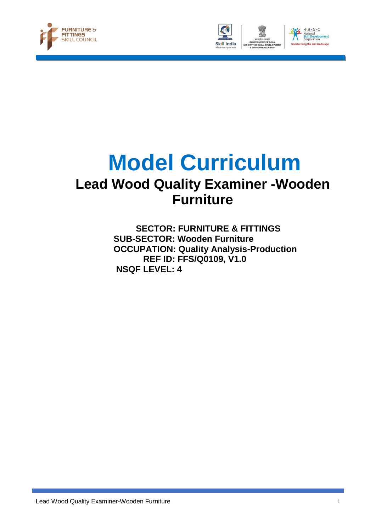





## **Model Curriculum Lead Wood Quality Examiner -Wooden Furniture**

 **SECTOR: FURNITURE & FITTINGS SUB-SECTOR: Wooden Furniture OCCUPATION: Quality Analysis-Production REF ID: FFS/Q0109, V1.0 NSQF LEVEL: 4**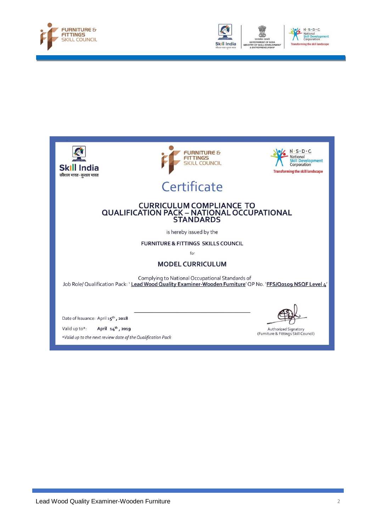





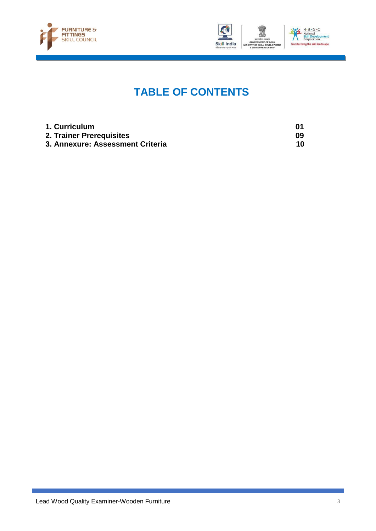



### **TABLE OF CONTENTS**

| 1. Curriculum                    |    |
|----------------------------------|----|
| 2. Trainer Prerequisites         | 09 |
| 3. Annexure: Assessment Criteria | 10 |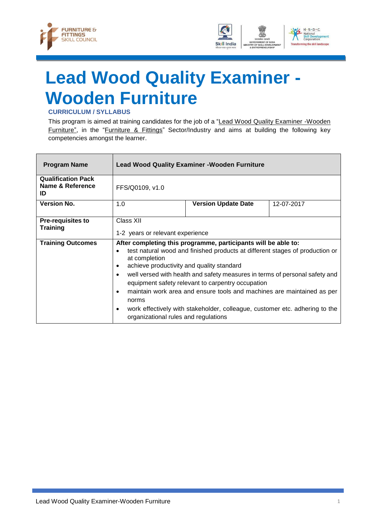



# <span id="page-3-0"></span>**Lead Wood Quality Examiner - Wooden Furniture**

#### **CURRICULUM / SYLLABUS**

This program is aimed at training candidates for the job of a "Lead Wood Quality Examiner -Wooden Furniture", in the "Furniture & Fittings" Sector/Industry and aims at building the following key competencies amongst the learner.

| <b>Program Name</b>                                 |                                                                                                                                                                                                                                                                                                                                                                                                                                                                                                                                                                                                                             | <b>Lead Wood Quality Examiner - Wooden Furniture</b> |            |
|-----------------------------------------------------|-----------------------------------------------------------------------------------------------------------------------------------------------------------------------------------------------------------------------------------------------------------------------------------------------------------------------------------------------------------------------------------------------------------------------------------------------------------------------------------------------------------------------------------------------------------------------------------------------------------------------------|------------------------------------------------------|------------|
| <b>Qualification Pack</b><br>Name & Reference<br>ID | FFS/Q0109, v1.0                                                                                                                                                                                                                                                                                                                                                                                                                                                                                                                                                                                                             |                                                      |            |
| <b>Version No.</b>                                  | 1.0                                                                                                                                                                                                                                                                                                                                                                                                                                                                                                                                                                                                                         | <b>Version Update Date</b>                           | 12-07-2017 |
| <b>Pre-requisites to</b><br><b>Training</b>         | Class XII<br>1-2 years or relevant experience                                                                                                                                                                                                                                                                                                                                                                                                                                                                                                                                                                               |                                                      |            |
| <b>Training Outcomes</b>                            | After completing this programme, participants will be able to:<br>test natural wood and finished products at different stages of production or<br>$\bullet$<br>at completion<br>achieve productivity and quality standard<br>$\bullet$<br>well versed with health and safety measures in terms of personal safety and<br>$\bullet$<br>equipment safety relevant to carpentry occupation<br>maintain work area and ensure tools and machines are maintained as per<br>$\bullet$<br>norms<br>work effectively with stakeholder, colleague, customer etc. adhering to the<br>$\bullet$<br>organizational rules and regulations |                                                      |            |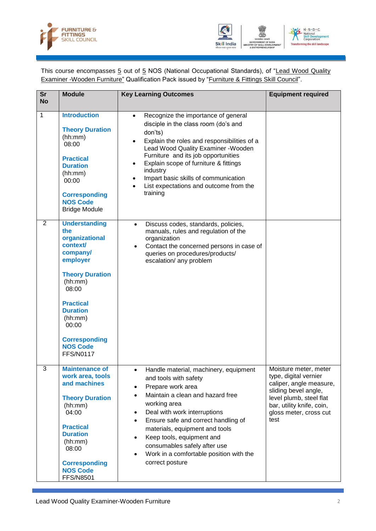



This course encompasses 5 out of 5 NOS (National Occupational Standards), of "Lead Wood Quality Examiner -Wooden Furniture" Qualification Pack issued by "Furniture & Fittings Skill Council".

| <b>Sr</b><br><b>No</b> | <b>Module</b>                                                                                                                                                                                                                                             | <b>Key Learning Outcomes</b>                                                                                                                                                                                                                                                                                                                                                                                                                 | <b>Equipment required</b>                                                                                                                                                                   |
|------------------------|-----------------------------------------------------------------------------------------------------------------------------------------------------------------------------------------------------------------------------------------------------------|----------------------------------------------------------------------------------------------------------------------------------------------------------------------------------------------------------------------------------------------------------------------------------------------------------------------------------------------------------------------------------------------------------------------------------------------|---------------------------------------------------------------------------------------------------------------------------------------------------------------------------------------------|
| $\mathbf{1}$           | <b>Introduction</b><br><b>Theory Duration</b><br>(hh:mm)<br>08:00<br><b>Practical</b><br><b>Duration</b><br>(hh:mm)<br>00:00<br><b>Corresponding</b><br><b>NOS Code</b><br><b>Bridge Module</b>                                                           | Recognize the importance of general<br>$\bullet$<br>disciple in the class room (do's and<br>don'ts)<br>Explain the roles and responsibilities of a<br>Lead Wood Quality Examiner - Wooden<br>Furniture and its job opportunities<br>Explain scope of furniture & fittings<br>industry<br>Impart basic skills of communication<br>$\bullet$<br>List expectations and outcome from the<br>$\bullet$<br>training                                |                                                                                                                                                                                             |
| 2                      | <b>Understanding</b><br>the<br>organizational<br>context/<br>company/<br>employer<br><b>Theory Duration</b><br>(hh:mm)<br>08:00<br><b>Practical</b><br><b>Duration</b><br>(hh:mm)<br>00:00<br><b>Corresponding</b><br><b>NOS Code</b><br><b>FFS/N0117</b> | Discuss codes, standards, policies,<br>$\bullet$<br>manuals, rules and regulation of the<br>organization<br>Contact the concerned persons in case of<br>$\bullet$<br>queries on procedures/products/<br>escalation/ any problem                                                                                                                                                                                                              |                                                                                                                                                                                             |
| 3                      | <b>Maintenance of</b><br>work area, tools<br>and machines<br><b>Theory Duration</b><br>(hh:mm)<br>04:00<br><b>Practical</b><br><b>Duration</b><br>(hh:mm)<br>08:00<br><b>Corresponding</b><br><b>NOS Code</b><br><b>FFS/N8501</b>                         | Handle material, machinery, equipment<br>and tools with safety<br>Prepare work area<br>$\bullet$<br>Maintain a clean and hazard free<br>$\bullet$<br>working area<br>Deal with work interruptions<br>$\bullet$<br>Ensure safe and correct handling of<br>$\bullet$<br>materials, equipment and tools<br>Keep tools, equipment and<br>$\bullet$<br>consumables safely after use<br>Work in a comfortable position with the<br>correct posture | Moisture meter, meter<br>type, digital vernier<br>caliper, angle measure,<br>sliding bevel angle,<br>level plumb, steel flat<br>bar, utility knife, coin,<br>gloss meter, cross cut<br>test |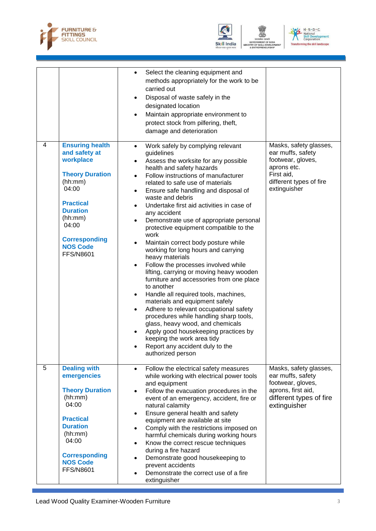



**DF SKIL** 



|                |                                                                                                                                                                                                                              | Select the cleaning equipment and<br>$\bullet$<br>methods appropriately for the work to be<br>carried out<br>Disposal of waste safely in the<br>$\bullet$<br>designated location<br>Maintain appropriate environment to<br>$\bullet$<br>protect stock from pilfering, theft,<br>damage and deterioration                                                                                                                                                                                                                                                                                                                                                                                                                                                                                                                                                                                                                                                                                                                                                                               |                                                                                                                                          |
|----------------|------------------------------------------------------------------------------------------------------------------------------------------------------------------------------------------------------------------------------|----------------------------------------------------------------------------------------------------------------------------------------------------------------------------------------------------------------------------------------------------------------------------------------------------------------------------------------------------------------------------------------------------------------------------------------------------------------------------------------------------------------------------------------------------------------------------------------------------------------------------------------------------------------------------------------------------------------------------------------------------------------------------------------------------------------------------------------------------------------------------------------------------------------------------------------------------------------------------------------------------------------------------------------------------------------------------------------|------------------------------------------------------------------------------------------------------------------------------------------|
| 4              | <b>Ensuring health</b><br>and safety at<br>workplace<br><b>Theory Duration</b><br>(hh:mm)<br>04:00<br><b>Practical</b><br><b>Duration</b><br>(hh:mm)<br>04:00<br><b>Corresponding</b><br><b>NOS Code</b><br><b>FFS/N8601</b> | Work safely by complying relevant<br>$\bullet$<br>guidelines<br>Assess the worksite for any possible<br>$\bullet$<br>health and safety hazards<br>Follow instructions of manufacturer<br>related to safe use of materials<br>Ensure safe handling and disposal of<br>$\bullet$<br>waste and debris<br>Undertake first aid activities in case of<br>$\bullet$<br>any accident<br>Demonstrate use of appropriate personal<br>protective equipment compatible to the<br>work<br>Maintain correct body posture while<br>working for long hours and carrying<br>heavy materials<br>Follow the processes involved while<br>$\bullet$<br>lifting, carrying or moving heavy wooden<br>furniture and accessories from one place<br>to another<br>Handle all required tools, machines,<br>٠<br>materials and equipment safely<br>Adhere to relevant occupational safety<br>$\bullet$<br>procedures while handling sharp tools,<br>glass, heavy wood, and chemicals<br>Apply good housekeeping practices by<br>keeping the work area tidy<br>Report any accident duly to the<br>authorized person | Masks, safety glasses,<br>ear muffs, safety<br>footwear, gloves,<br>aprons etc.<br>First aid,<br>different types of fire<br>extinguisher |
| $\overline{5}$ | <b>Dealing with</b><br>emergencies<br><b>Theory Duration</b><br>(hh:mm)<br>04:00<br><b>Practical</b><br><b>Duration</b><br>(hh:mm)<br>04:00<br><b>Corresponding</b><br><b>NOS Code</b><br><b>FFS/N8601</b>                   | Follow the electrical safety measures<br>$\bullet$<br>while working with electrical power tools<br>and equipment<br>Follow the evacuation procedures in the<br>$\bullet$<br>event of an emergency, accident, fire or<br>natural calamity<br>Ensure general health and safety<br>$\bullet$<br>equipment are available at site<br>Comply with the restrictions imposed on<br>$\bullet$<br>harmful chemicals during working hours<br>Know the correct rescue techniques<br>$\bullet$<br>during a fire hazard<br>Demonstrate good housekeeping to<br>$\bullet$<br>prevent accidents<br>Demonstrate the correct use of a fire<br>extinguisher                                                                                                                                                                                                                                                                                                                                                                                                                                               | Masks, safety glasses,<br>ear muffs, safety<br>footwear, gloves,<br>aprons, first aid,<br>different types of fire<br>extinguisher        |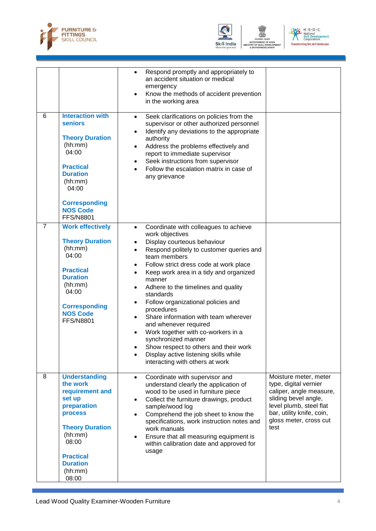



**DF SKILL** 



|   |                                                                                                                                                                                                                   | Respond promptly and appropriately to<br>$\bullet$<br>an accident situation or medical<br>emergency<br>Know the methods of accident prevention<br>in the working area                                                                                                                                                                                                                                                                                                                                                                                                                                                                                                                      |                                                                                                                                                                                             |
|---|-------------------------------------------------------------------------------------------------------------------------------------------------------------------------------------------------------------------|--------------------------------------------------------------------------------------------------------------------------------------------------------------------------------------------------------------------------------------------------------------------------------------------------------------------------------------------------------------------------------------------------------------------------------------------------------------------------------------------------------------------------------------------------------------------------------------------------------------------------------------------------------------------------------------------|---------------------------------------------------------------------------------------------------------------------------------------------------------------------------------------------|
| 6 | <b>Interaction with</b><br><b>seniors</b><br><b>Theory Duration</b><br>(hh:mm)<br>04:00<br><b>Practical</b><br><b>Duration</b><br>(hh:mm)<br>04:00<br><b>Corresponding</b><br><b>NOS Code</b><br><b>FFS/N8801</b> | Seek clarifications on policies from the<br>$\bullet$<br>supervisor or other authorized personnel<br>Identify any deviations to the appropriate<br>authority<br>Address the problems effectively and<br>$\bullet$<br>report to immediate supervisor<br>Seek instructions from supervisor<br>$\bullet$<br>Follow the escalation matrix in case of<br>$\bullet$<br>any grievance                                                                                                                                                                                                                                                                                                             |                                                                                                                                                                                             |
| 7 | <b>Work effectively</b><br><b>Theory Duration</b><br>(hh:mm)<br>04:00<br><b>Practical</b><br><b>Duration</b><br>(hh:mm)<br>04:00<br><b>Corresponding</b><br><b>NOS Code</b><br><b>FFS/N8801</b>                   | Coordinate with colleagues to achieve<br>$\bullet$<br>work objectives<br>Display courteous behaviour<br>Respond politely to customer queries and<br>team members<br>Follow strict dress code at work place<br>$\bullet$<br>Keep work area in a tidy and organized<br>$\bullet$<br>manner<br>Adhere to the timelines and quality<br>$\bullet$<br>standards<br>Follow organizational policies and<br>$\bullet$<br>procedures<br>Share information with team wherever<br>$\bullet$<br>and whenever required<br>Work together with co-workers in a<br>synchronized manner<br>Show respect to others and their work<br>Display active listening skills while<br>interacting with others at work |                                                                                                                                                                                             |
| 8 | <b>Understanding</b><br>the work<br>requirement and<br>set up<br>preparation<br><b>process</b><br><b>Theory Duration</b><br>(hh:mm)<br>08:00<br><b>Practical</b><br><b>Duration</b><br>(hh:mm)<br>08:00           | Coordinate with supervisor and<br>$\bullet$<br>understand clearly the application of<br>wood to be used in furniture piece<br>Collect the furniture drawings, product<br>sample/wood log<br>Comprehend the job sheet to know the<br>specifications, work instruction notes and<br>work manuals<br>Ensure that all measuring equipment is<br>$\bullet$<br>within calibration date and approved for<br>usage                                                                                                                                                                                                                                                                                 | Moisture meter, meter<br>type, digital vernier<br>caliper, angle measure,<br>sliding bevel angle,<br>level plumb, steel flat<br>bar, utility knife, coin,<br>gloss meter, cross cut<br>test |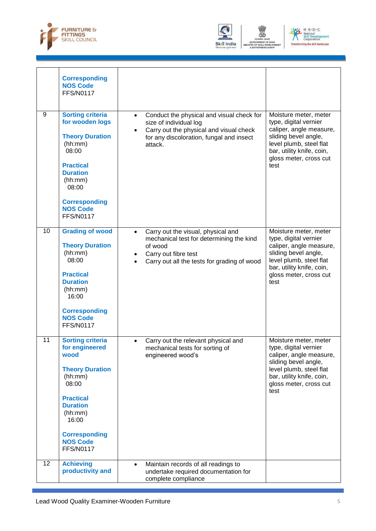



**DF SKIL** 



|    | <b>Corresponding</b><br><b>NOS Code</b><br><b>FFS/N0117</b>                                                                                                                                                               |                                                                                                                                                                                            |                                                                                                                                                                                             |
|----|---------------------------------------------------------------------------------------------------------------------------------------------------------------------------------------------------------------------------|--------------------------------------------------------------------------------------------------------------------------------------------------------------------------------------------|---------------------------------------------------------------------------------------------------------------------------------------------------------------------------------------------|
| 9  | <b>Sorting criteria</b><br>for wooden logs<br><b>Theory Duration</b><br>(hh:mm)<br>08:00<br><b>Practical</b><br><b>Duration</b><br>(hh:mm)<br>08:00<br><b>Corresponding</b><br><b>NOS Code</b><br><b>FFS/N0117</b>        | Conduct the physical and visual check for<br>$\bullet$<br>size of individual log<br>Carry out the physical and visual check<br>for any discoloration, fungal and insect<br>attack.         | Moisture meter, meter<br>type, digital vernier<br>caliper, angle measure,<br>sliding bevel angle,<br>level plumb, steel flat<br>bar, utility knife, coin,<br>gloss meter, cross cut<br>test |
| 10 | <b>Grading of wood</b><br><b>Theory Duration</b><br>(hh:mm)<br>08:00<br><b>Practical</b><br><b>Duration</b><br>(hh:mm)<br>16:00<br><b>Corresponding</b><br><b>NOS Code</b><br><b>FFS/N0117</b>                            | Carry out the visual, physical and<br>$\bullet$<br>mechanical test for determining the kind<br>of wood<br>Carry out fibre test<br>Carry out all the tests for grading of wood<br>$\bullet$ | Moisture meter, meter<br>type, digital vernier<br>caliper, angle measure,<br>sliding bevel angle,<br>level plumb, steel flat<br>bar, utility knife, coin,<br>gloss meter, cross cut<br>test |
| 11 | <b>Sorting criteria</b><br>for engineered<br>wood<br><b>Theory Duration</b><br>(hh:mm)<br>08:00<br><b>Practical</b><br><b>Duration</b><br>(hh:mm)<br>16:00<br><b>Corresponding</b><br><b>NOS Code</b><br><b>FFS/N0117</b> | Carry out the relevant physical and<br>mechanical tests for sorting of<br>engineered wood's                                                                                                | Moisture meter, meter<br>type, digital vernier<br>caliper, angle measure,<br>sliding bevel angle,<br>level plumb, steel flat<br>bar, utility knife, coin,<br>gloss meter, cross cut<br>test |
| 12 | <b>Achieving</b><br>productivity and                                                                                                                                                                                      | Maintain records of all readings to<br>$\bullet$<br>undertake required documentation for<br>complete compliance                                                                            |                                                                                                                                                                                             |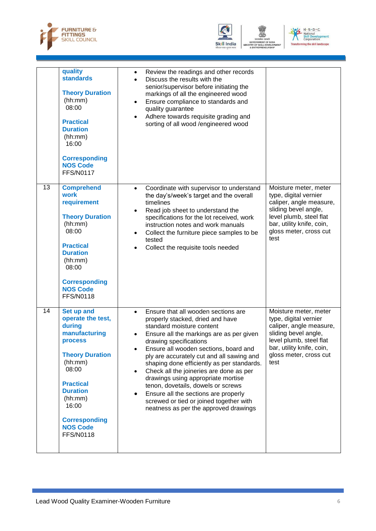



**DF SKIL** 



|    | quality<br><b>standards</b><br><b>Theory Duration</b><br>(hh:mm)<br>08:00<br><b>Practical</b><br><b>Duration</b><br>(hh:mm)<br>16:00<br><b>Corresponding</b><br><b>NOS Code</b><br><b>FFS/N0117</b>                                                  | Review the readings and other records<br>$\bullet$<br>Discuss the results with the<br>$\bullet$<br>senior/supervisor before initiating the<br>markings of all the engineered wood<br>Ensure compliance to standards and<br>$\bullet$<br>quality guarantee<br>Adhere towards requisite grading and<br>sorting of all wood /engineered wood                                                                                                                                                                                                                                      |                                                                                                                                                                                             |
|----|------------------------------------------------------------------------------------------------------------------------------------------------------------------------------------------------------------------------------------------------------|--------------------------------------------------------------------------------------------------------------------------------------------------------------------------------------------------------------------------------------------------------------------------------------------------------------------------------------------------------------------------------------------------------------------------------------------------------------------------------------------------------------------------------------------------------------------------------|---------------------------------------------------------------------------------------------------------------------------------------------------------------------------------------------|
| 13 | <b>Comprehend</b><br>work<br>requirement<br><b>Theory Duration</b><br>(hh:mm)<br>08:00<br><b>Practical</b><br><b>Duration</b><br>(hh:mm)<br>08:00<br><b>Corresponding</b><br><b>NOS Code</b><br><b>FFS/N0118</b>                                     | Coordinate with supervisor to understand<br>$\bullet$<br>the day's/week's target and the overall<br>timelines<br>Read job sheet to understand the<br>$\bullet$<br>specifications for the lot received, work<br>instruction notes and work manuals<br>Collect the furniture piece samples to be<br>$\bullet$<br>tested<br>Collect the requisite tools needed<br>$\bullet$                                                                                                                                                                                                       | Moisture meter, meter<br>type, digital vernier<br>caliper, angle measure,<br>sliding bevel angle,<br>level plumb, steel flat<br>bar, utility knife, coin,<br>gloss meter, cross cut<br>test |
| 14 | Set up and<br>operate the test,<br>during<br>manufacturing<br><b>process</b><br><b>Theory Duration</b><br>(hh:mm)<br>08:00<br><b>Practical</b><br><b>Duration</b><br>(hh:mm)<br>16:00<br><b>Corresponding</b><br><b>NOS Code</b><br><b>FFS/N0118</b> | Ensure that all wooden sections are<br>$\bullet$<br>properly stacked, dried and have<br>standard moisture content<br>Ensure all the markings are as per given<br>drawing specifications<br>Ensure all wooden sections, board and<br>ply are accurately cut and all sawing and<br>shaping done efficiently as per standards.<br>Check all the joineries are done as per<br>drawings using appropriate mortise<br>tenon, dovetails, dowels or screws<br>Ensure all the sections are properly<br>screwed or tied or joined together with<br>neatness as per the approved drawings | Moisture meter, meter<br>type, digital vernier<br>caliper, angle measure,<br>sliding bevel angle,<br>level plumb, steel flat<br>bar, utility knife, coin,<br>gloss meter, cross cut<br>test |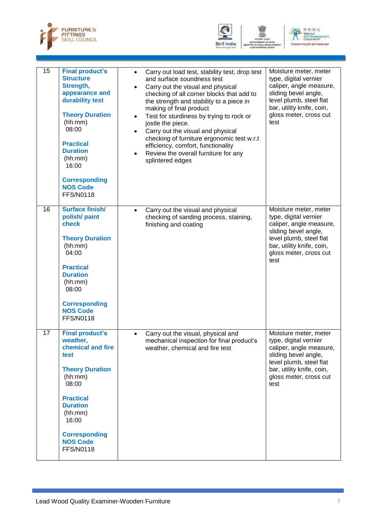





| 15 | <b>Final product's</b><br><b>Structure</b><br>Strength,<br>appearance and<br>durability test<br><b>Theory Duration</b><br>(hh:mm)<br>08:00<br><b>Practical</b><br><b>Duration</b><br>(hh:mm)<br>16:00<br><b>Corresponding</b><br><b>NOS Code</b><br><b>FFS/N0118</b> | $\bullet$<br>$\bullet$ | Carry out load test, stability test, drop test<br>and surface soundness test<br>Carry out the visual and physical<br>checking of all corner blocks that add to<br>the strength and stability to a piece in<br>making of final product<br>Test for sturdiness by trying to rock or<br>jostle the piece.<br>Carry out the visual and physical<br>checking of furniture ergonomic test w.r.t<br>efficiency, comfort, functionality<br>Review the overall furniture for any<br>splintered edges | Moisture meter, meter<br>type, digital vernier<br>caliper, angle measure,<br>sliding bevel angle,<br>level plumb, steel flat<br>bar, utility knife, coin,<br>gloss meter, cross cut<br>test |
|----|----------------------------------------------------------------------------------------------------------------------------------------------------------------------------------------------------------------------------------------------------------------------|------------------------|---------------------------------------------------------------------------------------------------------------------------------------------------------------------------------------------------------------------------------------------------------------------------------------------------------------------------------------------------------------------------------------------------------------------------------------------------------------------------------------------|---------------------------------------------------------------------------------------------------------------------------------------------------------------------------------------------|
| 16 | <b>Surface finish/</b><br>polish/ paint<br>check<br><b>Theory Duration</b><br>(hh:mm)<br>04:00<br><b>Practical</b><br><b>Duration</b><br>(hh:mm)<br>08:00<br><b>Corresponding</b><br><b>NOS Code</b><br><b>FFS/N0118</b>                                             | $\bullet$              | Carry out the visual and physical<br>checking of sanding process, staining,<br>finishing and coating                                                                                                                                                                                                                                                                                                                                                                                        | Moisture meter, meter<br>type, digital vernier<br>caliper, angle measure,<br>sliding bevel angle,<br>level plumb, steel flat<br>bar, utility knife, coin,<br>gloss meter, cross cut<br>test |
| 17 | <b>Final product's</b><br>weather,<br>chemical and fire<br>test<br><b>Theory Duration</b><br>(hh:mm)<br>08:00<br><b>Practical</b><br><b>Duration</b><br>(hh:mm)<br>16:00<br><b>Corresponding</b><br><b>NOS Code</b><br><b>FFS/N0118</b>                              | $\bullet$              | Carry out the visual, physical and<br>mechanical inspection for final product's<br>weather, chemical and fire test                                                                                                                                                                                                                                                                                                                                                                          | Moisture meter, meter<br>type, digital vernier<br>caliper, angle measure,<br>sliding bevel angle,<br>level plumb, steel flat<br>bar, utility knife, coin,<br>gloss meter, cross cut<br>test |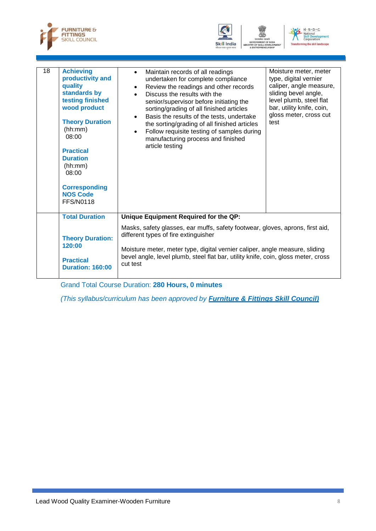





| 18 | <b>Achieving</b><br>productivity and<br>quality<br>standards by<br>testing finished<br>wood product<br><b>Theory Duration</b><br>(hh:mm)<br>08:00<br><b>Practical</b><br><b>Duration</b><br>(hh:mm)<br>08:00<br><b>Corresponding</b><br><b>NOS Code</b><br><b>FFS/N0118</b> | Maintain records of all readings<br>$\bullet$<br>undertaken for complete compliance<br>Review the readings and other records<br>$\bullet$<br>Discuss the results with the<br>senior/supervisor before initiating the<br>sorting/grading of all finished articles<br>Basis the results of the tests, undertake<br>$\bullet$<br>the sorting/grading of all finished articles<br>Follow requisite testing of samples during<br>$\bullet$<br>manufacturing process and finished<br>article testing | Moisture meter, meter<br>type, digital vernier<br>caliper, angle measure,<br>sliding bevel angle,<br>level plumb, steel flat<br>bar, utility knife, coin,<br>gloss meter, cross cut<br>test |
|----|-----------------------------------------------------------------------------------------------------------------------------------------------------------------------------------------------------------------------------------------------------------------------------|------------------------------------------------------------------------------------------------------------------------------------------------------------------------------------------------------------------------------------------------------------------------------------------------------------------------------------------------------------------------------------------------------------------------------------------------------------------------------------------------|---------------------------------------------------------------------------------------------------------------------------------------------------------------------------------------------|
|    | <b>Total Duration</b>                                                                                                                                                                                                                                                       | Unique Equipment Required for the QP:                                                                                                                                                                                                                                                                                                                                                                                                                                                          |                                                                                                                                                                                             |
|    | <b>Theory Duration:</b><br>120:00<br><b>Practical</b><br><b>Duration: 160:00</b>                                                                                                                                                                                            | Masks, safety glasses, ear muffs, safety footwear, gloves, aprons, first aid,<br>different types of fire extinguisher<br>Moisture meter, meter type, digital vernier caliper, angle measure, sliding<br>bevel angle, level plumb, steel flat bar, utility knife, coin, gloss meter, cross<br>cut test                                                                                                                                                                                          |                                                                                                                                                                                             |

Grand Total Course Duration: **280 Hours, 0 minutes**

<span id="page-10-0"></span>*(This syllabus/curriculum has been approved by Furniture & Fittings Skill Council)*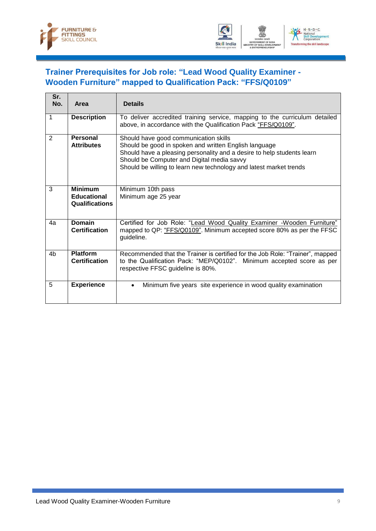



### **[Trainer Prerequisites for Job role: "Lead Wood Quality Examiner -](#page-10-0) Wooden Furniture" [mapped to Qualification Pack: "FFS/Q0109"](#page-10-0)**

| Sr.<br>No. | Area                                                          | <b>Details</b>                                                                                                                                                                                                                                                                               |
|------------|---------------------------------------------------------------|----------------------------------------------------------------------------------------------------------------------------------------------------------------------------------------------------------------------------------------------------------------------------------------------|
| 1          | <b>Description</b>                                            | To deliver accredited training service, mapping to the curriculum detailed<br>above, in accordance with the Qualification Pack "FFS/Q0109".                                                                                                                                                  |
| 2          | Personal<br><b>Attributes</b>                                 | Should have good communication skills<br>Should be good in spoken and written English language<br>Should have a pleasing personality and a desire to help students learn<br>Should be Computer and Digital media savvy<br>Should be willing to learn new technology and latest market trends |
| 3          | <b>Minimum</b><br><b>Educational</b><br><b>Qualifications</b> | Minimum 10th pass<br>Minimum age 25 year                                                                                                                                                                                                                                                     |
| 4a         | <b>Domain</b><br><b>Certification</b>                         | Certified for Job Role: "Lead Wood Quality Examiner -Wooden Furniture"<br>mapped to QP: "FFS/Q0109". Minimum accepted score 80% as per the FFSC<br>guideline.                                                                                                                                |
| 4b         | <b>Platform</b><br><b>Certification</b>                       | Recommended that the Trainer is certified for the Job Role: "Trainer", mapped<br>to the Qualification Pack: "MEP/Q0102". Minimum accepted score as per<br>respective FFSC guideline is 80%.                                                                                                  |
| 5          | <b>Experience</b>                                             | Minimum five years site experience in wood quality examination                                                                                                                                                                                                                               |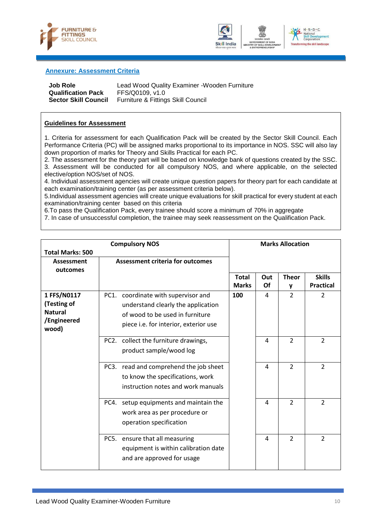



#### <span id="page-12-0"></span>**Annexure: Assessment Criteria**

| Job Role                    | Lead Wood Quality Examiner - Wooden Furniture |
|-----------------------------|-----------------------------------------------|
| <b>Qualification Pack</b>   | FFS/Q0109. v1.0                               |
| <b>Sector Skill Council</b> | Furniture & Fittings Skill Council            |

#### **Guidelines for Assessment**

1. Criteria for assessment for each Qualification Pack will be created by the Sector Skill Council. Each Performance Criteria (PC) will be assigned marks proportional to its importance in NOS. SSC will also lay down proportion of marks for Theory and Skills Practical for each PC.

2. The assessment for the theory part will be based on knowledge bank of questions created by the SSC. 3. Assessment will be conducted for all compulsory NOS, and where applicable, on the selected elective/option NOS/set of NOS.

4. Individual assessment agencies will create unique question papers for theory part for each candidate at each examination/training center (as per assessment criteria below).

5.Individual assessment agencies will create unique evaluations for skill practical for every student at each examination/training center based on this criteria

6.To pass the Qualification Pack, every trainee should score a minimum of 70% in aggregate

7. In case of unsuccessful completion, the trainee may seek reassessment on the Qualification Pack.

| <b>Compulsory NOS</b>   |      |                                         | <b>Marks Allocation</b>      |           |                |                                   |
|-------------------------|------|-----------------------------------------|------------------------------|-----------|----------------|-----------------------------------|
| <b>Total Marks: 500</b> |      |                                         |                              |           |                |                                   |
| <b>Assessment</b>       |      | <b>Assessment criteria for outcomes</b> |                              |           |                |                                   |
| outcomes                |      |                                         |                              |           |                |                                   |
|                         |      |                                         | <b>Total</b><br><b>Marks</b> | Out<br>Of | <b>Theor</b>   | <b>Skills</b><br><b>Practical</b> |
|                         |      |                                         |                              |           | y              |                                   |
| 1 FFS/N0117             |      | PC1. coordinate with supervisor and     | 100                          | 4         | $\overline{2}$ | $\overline{2}$                    |
| (Testing of             |      | understand clearly the application      |                              |           |                |                                   |
| <b>Natural</b>          |      | of wood to be used in furniture         |                              |           |                |                                   |
| /Engineered<br>wood)    |      | piece i.e. for interior, exterior use   |                              |           |                |                                   |
|                         |      | PC2. collect the furniture drawings,    |                              | 4         | $\overline{2}$ | 2                                 |
|                         |      | product sample/wood log                 |                              |           |                |                                   |
|                         |      | PC3. read and comprehend the job sheet  |                              | 4         | $\overline{2}$ | $\overline{2}$                    |
|                         |      | to know the specifications, work        |                              |           |                |                                   |
|                         |      | instruction notes and work manuals      |                              |           |                |                                   |
|                         | PC4. | setup equipments and maintain the       |                              | 4         | $\overline{2}$ | $\overline{2}$                    |
|                         |      | work area as per procedure or           |                              |           |                |                                   |
|                         |      | operation specification                 |                              |           |                |                                   |
|                         | PC5. | ensure that all measuring               |                              | 4         | $\overline{2}$ | $\overline{2}$                    |
|                         |      | equipment is within calibration date    |                              |           |                |                                   |
|                         |      | and are approved for usage              |                              |           |                |                                   |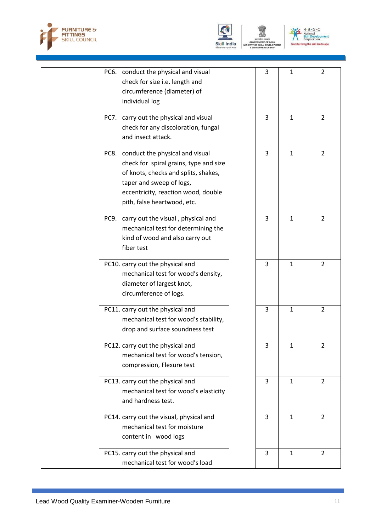





|                | PC6. conduct the physical and visual<br>check for size i.e. length and | 3 | $\mathbf{1}$ | $\overline{2}$ |
|----------------|------------------------------------------------------------------------|---|--------------|----------------|
|                | circumference (diameter) of                                            |   |              |                |
| individual log |                                                                        |   |              |                |
|                |                                                                        |   |              |                |
|                | PC7. carry out the physical and visual                                 | 3 | $\mathbf{1}$ | $\overline{2}$ |
|                | check for any discoloration, fungal                                    |   |              |                |
|                | and insect attack.                                                     |   |              |                |
|                | PC8. conduct the physical and visual                                   | 3 | $\mathbf{1}$ | $\overline{2}$ |
|                | check for spiral grains, type and size                                 |   |              |                |
|                | of knots, checks and splits, shakes,                                   |   |              |                |
|                | taper and sweep of logs,                                               |   |              |                |
|                | eccentricity, reaction wood, double                                    |   |              |                |
|                | pith, false heartwood, etc.                                            |   |              |                |
|                |                                                                        |   |              |                |
|                | PC9. carry out the visual, physical and                                | 3 | $\mathbf{1}$ | $\overline{2}$ |
|                | mechanical test for determining the                                    |   |              |                |
|                | kind of wood and also carry out                                        |   |              |                |
| fiber test     |                                                                        |   |              |                |
|                | PC10. carry out the physical and                                       | 3 | $\mathbf{1}$ | $\overline{2}$ |
|                | mechanical test for wood's density,                                    |   |              |                |
|                | diameter of largest knot,                                              |   |              |                |
|                | circumference of logs.                                                 |   |              |                |
|                |                                                                        |   |              |                |
|                | PC11. carry out the physical and                                       | 3 | $\mathbf{1}$ | $\overline{2}$ |
|                | mechanical test for wood's stability,                                  |   |              |                |
|                | drop and surface soundness test                                        |   |              |                |
|                | PC12. carry out the physical and                                       | 3 | 1            | 2              |
|                | mechanical test for wood's tension,                                    |   |              |                |
|                | compression, Flexure test                                              |   |              |                |
|                | PC13. carry out the physical and                                       | 3 | $\mathbf{1}$ | $\overline{2}$ |
|                | mechanical test for wood's elasticity                                  |   |              |                |
|                | and hardness test.                                                     |   |              |                |
|                |                                                                        |   |              |                |
|                | PC14. carry out the visual, physical and                               | 3 | $\mathbf{1}$ | $\overline{2}$ |
|                | mechanical test for moisture                                           |   |              |                |
|                | content in wood logs                                                   |   |              |                |
|                | PC15. carry out the physical and                                       | 3 | $\mathbf{1}$ | $\overline{2}$ |
|                | mechanical test for wood's load                                        |   |              |                |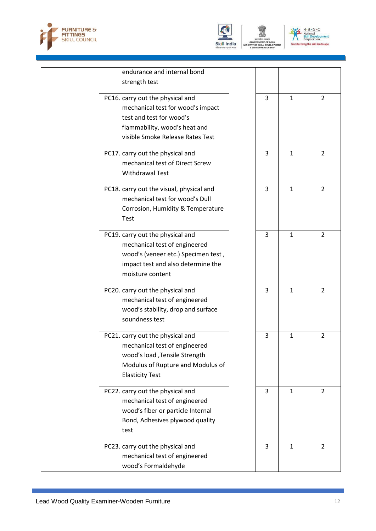





| endurance and internal bond<br>strength test                                                                                                                           |   |              |                |
|------------------------------------------------------------------------------------------------------------------------------------------------------------------------|---|--------------|----------------|
| PC16. carry out the physical and<br>mechanical test for wood's impact<br>test and test for wood's<br>flammability, wood's heat and<br>visible Smoke Release Rates Test | 3 | $\mathbf{1}$ | $\overline{2}$ |
| PC17. carry out the physical and<br>mechanical test of Direct Screw<br><b>Withdrawal Test</b>                                                                          | 3 | $\mathbf{1}$ | $\overline{2}$ |
| PC18. carry out the visual, physical and<br>mechanical test for wood's Dull<br>Corrosion, Humidity & Temperature<br>Test                                               | 3 | $\mathbf{1}$ | $\overline{2}$ |
| PC19. carry out the physical and<br>mechanical test of engineered<br>wood's (veneer etc.) Specimen test,<br>impact test and also determine the<br>moisture content     | 3 | $\mathbf{1}$ | $\overline{2}$ |
| PC20. carry out the physical and<br>mechanical test of engineered<br>wood's stability, drop and surface<br>soundness test                                              | 3 | $\mathbf{1}$ | $\overline{2}$ |
| PC21. carry out the physical and<br>mechanical test of engineered<br>wood's load , Tensile Strength<br>Modulus of Rupture and Modulus of<br><b>Elasticity Test</b>     | 3 | $\mathbf{1}$ | $\overline{2}$ |
| PC22. carry out the physical and<br>mechanical test of engineered<br>wood's fiber or particle Internal<br>Bond, Adhesives plywood quality<br>test                      | 3 | $\mathbf{1}$ | $\overline{2}$ |
| PC23. carry out the physical and<br>mechanical test of engineered<br>wood's Formaldehyde                                                                               | 3 | $\mathbf{1}$ | $\overline{2}$ |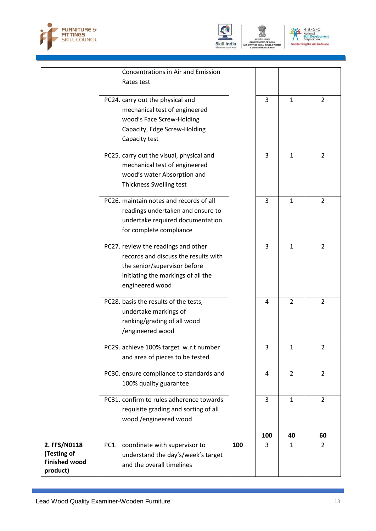



 $N \cdot 5 \cdot D \cdot C$ <br>
National<br>
Skill Development<br>
Corporation  $\frac{1}{2}$ corporation<br>ing the skill landscape

|                                     | <b>Concentrations in Air and Emission</b><br>Rates test           |     |                |                |                |
|-------------------------------------|-------------------------------------------------------------------|-----|----------------|----------------|----------------|
|                                     |                                                                   |     |                |                |                |
|                                     | PC24. carry out the physical and<br>mechanical test of engineered |     | 3              | $\mathbf{1}$   | $\overline{2}$ |
|                                     | wood's Face Screw-Holding                                         |     |                |                |                |
|                                     | Capacity, Edge Screw-Holding                                      |     |                |                |                |
|                                     | Capacity test                                                     |     |                |                |                |
|                                     |                                                                   |     |                |                |                |
|                                     | PC25. carry out the visual, physical and                          |     | 3              | $\mathbf{1}$   | $\overline{2}$ |
|                                     | mechanical test of engineered                                     |     |                |                |                |
|                                     | wood's water Absorption and                                       |     |                |                |                |
|                                     | Thickness Swelling test                                           |     |                |                |                |
|                                     | PC26. maintain notes and records of all                           |     | 3              | 1              | $\overline{2}$ |
|                                     | readings undertaken and ensure to                                 |     |                |                |                |
|                                     | undertake required documentation                                  |     |                |                |                |
|                                     | for complete compliance                                           |     |                |                |                |
|                                     | PC27. review the readings and other                               |     | 3              | $\mathbf{1}$   | $\overline{2}$ |
|                                     | records and discuss the results with                              |     |                |                |                |
|                                     | the senior/supervisor before                                      |     |                |                |                |
|                                     | initiating the markings of all the                                |     |                |                |                |
|                                     | engineered wood                                                   |     |                |                |                |
|                                     | PC28. basis the results of the tests,                             |     | 4              | $\overline{2}$ | $\overline{2}$ |
|                                     | undertake markings of                                             |     |                |                |                |
|                                     | ranking/grading of all wood                                       |     |                |                |                |
|                                     | /engineered wood                                                  |     |                |                |                |
|                                     | PC29. achieve 100% target w.r.t number                            |     | 3              | $\mathbf{1}$   | $\overline{2}$ |
|                                     | and area of pieces to be tested                                   |     |                |                |                |
|                                     | PC30. ensure compliance to standards and                          |     | $\overline{4}$ | $\overline{2}$ | $\overline{2}$ |
|                                     | 100% quality guarantee                                            |     |                |                |                |
|                                     | PC31. confirm to rules adherence towards                          |     | 3              | $\mathbf{1}$   | $\overline{2}$ |
|                                     | requisite grading and sorting of all                              |     |                |                |                |
|                                     | wood /engineered wood                                             |     |                |                |                |
|                                     |                                                                   |     | 100            | 40             | 60             |
| 2. FFS/N0118                        | PC1. coordinate with supervisor to                                | 100 | 3              | $\mathbf{1}$   | $\overline{2}$ |
| (Testing of<br><b>Finished wood</b> | understand the day's/week's target                                |     |                |                |                |
| product)                            | and the overall timelines                                         |     |                |                |                |
|                                     |                                                                   |     |                |                |                |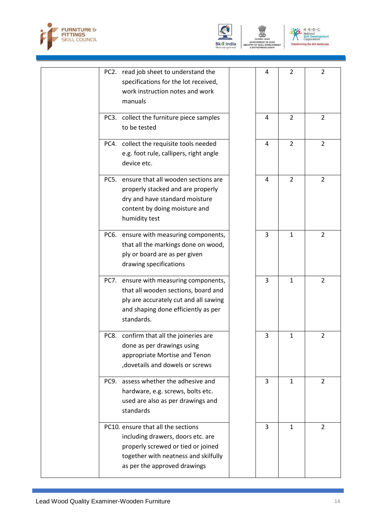





| PC2. read job sheet to understand the<br>specifications for the lot received,<br>work instruction notes and work<br>manuals                                                           | 4 | $\overline{2}$ | $\overline{2}$ |
|---------------------------------------------------------------------------------------------------------------------------------------------------------------------------------------|---|----------------|----------------|
| PC3. collect the furniture piece samples<br>to be tested                                                                                                                              | 4 | $\overline{2}$ | $\overline{2}$ |
| PC4. collect the requisite tools needed<br>e.g. foot rule, callipers, right angle<br>device etc.                                                                                      | 4 | $\overline{2}$ | $\overline{2}$ |
| PC5. ensure that all wooden sections are<br>properly stacked and are properly<br>dry and have standard moisture<br>content by doing moisture and<br>humidity test                     | 4 | $\overline{2}$ | $\overline{2}$ |
| PC6. ensure with measuring components,<br>that all the markings done on wood,<br>ply or board are as per given<br>drawing specifications                                              | 3 | $\mathbf 1$    | $\overline{2}$ |
| PC7. ensure with measuring components,<br>that all wooden sections, board and<br>ply are accurately cut and all sawing<br>and shaping done efficiently as per<br>standards.           | 3 | $\mathbf{1}$   | 2              |
| confirm that all the joineries are<br>PC8.<br>done as per drawings using<br>appropriate Mortise and Tenon<br>, dovetails and dowels or screws                                         | 3 | 1              | 2              |
| assess whether the adhesive and<br>PC9.<br>hardware, e.g. screws, bolts etc.<br>used are also as per drawings and<br>standards                                                        | 3 | $\mathbf{1}$   | $\overline{2}$ |
| PC10. ensure that all the sections<br>including drawers, doors etc. are<br>properly screwed or tied or joined<br>together with neatness and skilfully<br>as per the approved drawings | 3 | $\mathbf{1}$   | $\overline{2}$ |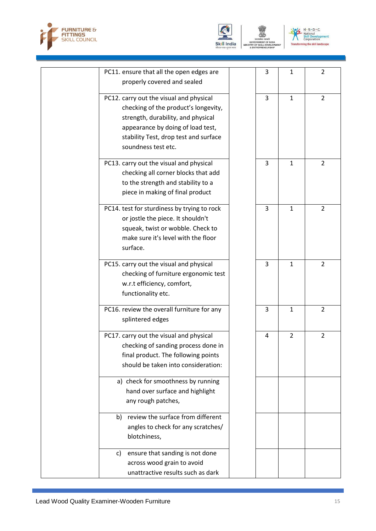





| PC11. ensure that all the open edges are    | 3 | $\mathbf{1}$   | $\overline{2}$ |
|---------------------------------------------|---|----------------|----------------|
| properly covered and sealed                 |   |                |                |
| PC12. carry out the visual and physical     | 3 | $\mathbf{1}$   | $\overline{2}$ |
| checking of the product's longevity,        |   |                |                |
| strength, durability, and physical          |   |                |                |
| appearance by doing of load test,           |   |                |                |
| stability Test, drop test and surface       |   |                |                |
| soundness test etc.                         |   |                |                |
| PC13. carry out the visual and physical     | 3 | $\mathbf{1}$   | $\overline{2}$ |
| checking all corner blocks that add         |   |                |                |
| to the strength and stability to a          |   |                |                |
| piece in making of final product            |   |                |                |
| PC14. test for sturdiness by trying to rock | 3 | $\mathbf{1}$   | $\overline{2}$ |
| or jostle the piece. It shouldn't           |   |                |                |
| squeak, twist or wobble. Check to           |   |                |                |
| make sure it's level with the floor         |   |                |                |
| surface.                                    |   |                |                |
| PC15. carry out the visual and physical     | 3 | $\mathbf{1}$   | $\overline{2}$ |
| checking of furniture ergonomic test        |   |                |                |
| w.r.t efficiency, comfort,                  |   |                |                |
| functionality etc.                          |   |                |                |
| PC16. review the overall furniture for any  | 3 | $\mathbf{1}$   | $\overline{2}$ |
| splintered edges                            |   |                |                |
| PC17. carry out the visual and physical     | 4 | $\overline{2}$ | $\overline{2}$ |
| checking of sanding process done in         |   |                |                |
| final product. The following points         |   |                |                |
| should be taken into consideration:         |   |                |                |
| a) check for smoothness by running          |   |                |                |
| hand over surface and highlight             |   |                |                |
| any rough patches,                          |   |                |                |
| review the surface from different<br>b)     |   |                |                |
| angles to check for any scratches/          |   |                |                |
| blotchiness,                                |   |                |                |
| ensure that sanding is not done<br>C)       |   |                |                |
| across wood grain to avoid                  |   |                |                |
| unattractive results such as dark           |   |                |                |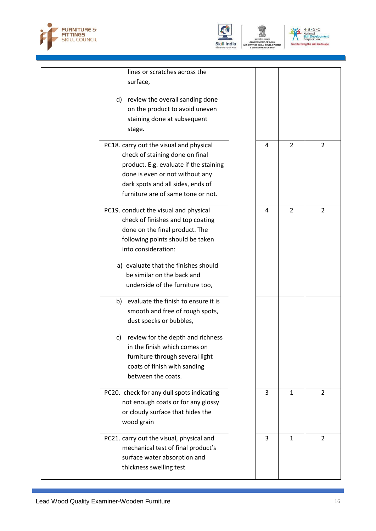





| lines or scratches across the<br>surface,                                                                                                                                                                                          |   |                |                |
|------------------------------------------------------------------------------------------------------------------------------------------------------------------------------------------------------------------------------------|---|----------------|----------------|
|                                                                                                                                                                                                                                    |   |                |                |
| d) review the overall sanding done<br>on the product to avoid uneven<br>staining done at subsequent<br>stage.                                                                                                                      |   |                |                |
| PC18. carry out the visual and physical<br>check of staining done on final<br>product. E.g. evaluate if the staining<br>done is even or not without any<br>dark spots and all sides, ends of<br>furniture are of same tone or not. | 4 | $\overline{2}$ | 2              |
| PC19. conduct the visual and physical<br>check of finishes and top coating<br>done on the final product. The<br>following points should be taken<br>into consideration:                                                            | 4 | $\overline{2}$ | $\overline{2}$ |
| a) evaluate that the finishes should<br>be similar on the back and<br>underside of the furniture too,                                                                                                                              |   |                |                |
| b) evaluate the finish to ensure it is<br>smooth and free of rough spots,<br>dust specks or bubbles,                                                                                                                               |   |                |                |
| review for the depth and richness<br>C)<br>in the finish which comes on<br>furniture through several light<br>coats of finish with sanding<br>between the coats.                                                                   |   |                |                |
| PC20. check for any dull spots indicating<br>not enough coats or for any glossy<br>or cloudy surface that hides the<br>wood grain                                                                                                  | 3 | $\mathbf{1}$   | $\overline{2}$ |
| PC21. carry out the visual, physical and<br>mechanical test of final product's<br>surface water absorption and<br>thickness swelling test                                                                                          | 3 | 1              | $\overline{2}$ |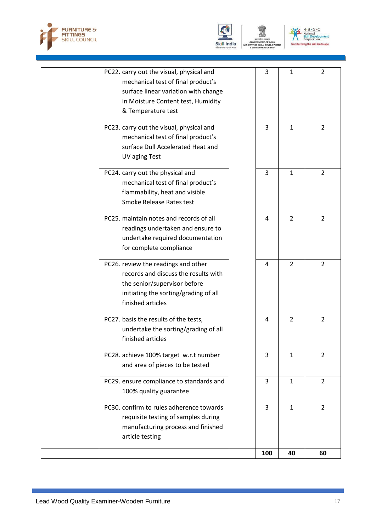





| PC22. carry out the visual, physical and<br>mechanical test of final product's<br>surface linear variation with change<br>in Moisture Content test, Humidity<br>& Temperature test | 3   | 1              | 2              |
|------------------------------------------------------------------------------------------------------------------------------------------------------------------------------------|-----|----------------|----------------|
| PC23. carry out the visual, physical and<br>mechanical test of final product's<br>surface Dull Accelerated Heat and<br><b>UV aging Test</b>                                        | 3   | $\mathbf{1}$   | $\overline{2}$ |
| PC24. carry out the physical and<br>mechanical test of final product's<br>flammability, heat and visible<br>Smoke Release Rates test                                               | 3   | $\mathbf{1}$   | $\overline{2}$ |
| PC25. maintain notes and records of all<br>readings undertaken and ensure to<br>undertake required documentation<br>for complete compliance                                        | 4   | $\overline{2}$ | $\overline{2}$ |
| PC26. review the readings and other<br>records and discuss the results with<br>the senior/supervisor before<br>initiating the sorting/grading of all<br>finished articles          | 4   | $\overline{2}$ | $\overline{2}$ |
| PC27. basis the results of the tests,<br>undertake the sorting/grading of all<br>finished articles                                                                                 | 4   | $\overline{2}$ | $\overline{2}$ |
| PC28. achieve 100% target w.r.t number<br>and area of pieces to be tested                                                                                                          | 3   | 1              | $\overline{2}$ |
| PC29. ensure compliance to standards and<br>100% quality guarantee                                                                                                                 | 3   | $\mathbf{1}$   | $\overline{2}$ |
| PC30. confirm to rules adherence towards<br>requisite testing of samples during<br>manufacturing process and finished<br>article testing                                           | 3   | $\mathbf{1}$   | $\overline{2}$ |
|                                                                                                                                                                                    | 100 | 40             | 60             |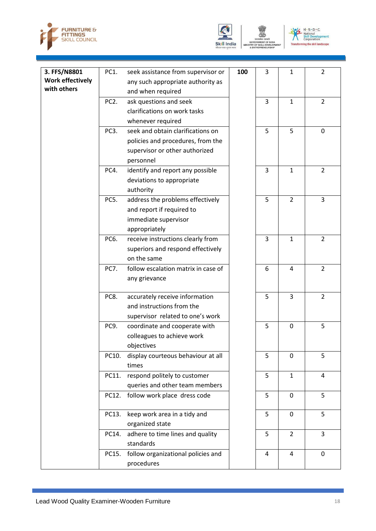





| 3. FFS/N8801            | PC1.              | seek assistance from supervisor or                     | 100 | 3              | $\mathbf{1}$   | $\overline{2}$ |
|-------------------------|-------------------|--------------------------------------------------------|-----|----------------|----------------|----------------|
| <b>Work effectively</b> |                   | any such appropriate authority as                      |     |                |                |                |
| with others             |                   | and when required                                      |     |                |                |                |
|                         | PC <sub>2</sub> . | ask questions and seek                                 |     | $\overline{3}$ | $\mathbf{1}$   | $\overline{2}$ |
|                         |                   | clarifications on work tasks                           |     |                |                |                |
|                         |                   |                                                        |     |                |                |                |
|                         |                   | whenever required<br>seek and obtain clarifications on |     |                |                |                |
|                         | PC <sub>3</sub> . |                                                        |     | 5              | 5              | 0              |
|                         |                   | policies and procedures, from the                      |     |                |                |                |
|                         |                   | supervisor or other authorized                         |     |                |                |                |
|                         |                   | personnel                                              |     |                |                |                |
|                         | PC4.              | identify and report any possible                       |     | 3              | $\mathbf{1}$   | $\overline{2}$ |
|                         |                   | deviations to appropriate                              |     |                |                |                |
|                         |                   | authority                                              |     |                |                |                |
|                         | PC5.              | address the problems effectively                       |     | 5              | $\overline{2}$ | 3              |
|                         |                   | and report if required to                              |     |                |                |                |
|                         |                   | immediate supervisor                                   |     |                |                |                |
|                         |                   | appropriately                                          |     |                |                |                |
|                         | PC6.              | receive instructions clearly from                      |     | 3              | $\mathbf{1}$   | $\overline{2}$ |
|                         |                   | superiors and respond effectively                      |     |                |                |                |
|                         |                   | on the same                                            |     |                |                |                |
|                         | <b>PC7.</b>       | follow escalation matrix in case of                    |     | 6              | 4              | $\overline{2}$ |
|                         |                   | any grievance                                          |     |                |                |                |
|                         |                   |                                                        |     |                |                |                |
|                         | PC8.              | accurately receive information                         |     | 5              | 3              | $\overline{2}$ |
|                         |                   | and instructions from the                              |     |                |                |                |
|                         |                   | supervisor related to one's work                       |     |                |                |                |
|                         | PC9.              | coordinate and cooperate with                          |     | 5              | $\mathbf 0$    | 5              |
|                         |                   | colleagues to achieve work                             |     |                |                |                |
|                         |                   | objectives                                             |     |                |                |                |
|                         | PC10.             | display courteous behaviour at all                     |     | 5              | 0              | 5              |
|                         |                   | times                                                  |     |                |                |                |
|                         | PC11.             | respond politely to customer                           |     | 5              | $\mathbf{1}$   | 4              |
|                         |                   | queries and other team members                         |     |                |                |                |
|                         |                   | PC12. follow work place dress code                     |     | 5              | $\mathbf 0$    | 5              |
|                         |                   |                                                        |     |                |                |                |
|                         | PC13.             | keep work area in a tidy and                           |     | 5              | $\mathbf 0$    | 5              |
|                         |                   | organized state                                        |     |                |                |                |
|                         | PC14.             | adhere to time lines and quality                       |     | 5              | $\overline{2}$ | 3              |
|                         |                   | standards                                              |     |                |                |                |
|                         | PC15.             | follow organizational policies and                     |     | 4              | $\overline{4}$ | $\mathbf 0$    |
|                         |                   | procedures                                             |     |                |                |                |
|                         |                   |                                                        |     |                |                |                |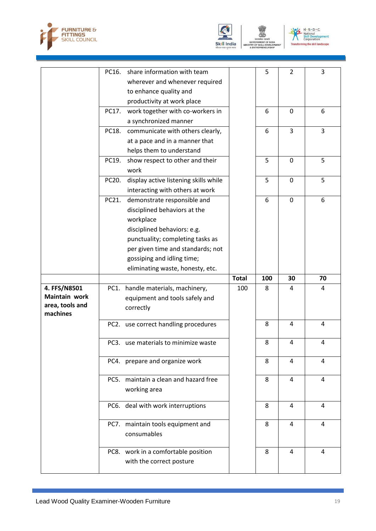





|                               |       | PC16. share information with team     |              | 5   | $\overline{2}$ | 3  |
|-------------------------------|-------|---------------------------------------|--------------|-----|----------------|----|
|                               |       | wherever and whenever required        |              |     |                |    |
|                               |       | to enhance quality and                |              |     |                |    |
|                               |       | productivity at work place            |              |     |                |    |
|                               | PC17. | work together with co-workers in      |              | 6   | 0              | 6  |
|                               |       | a synchronized manner                 |              |     |                |    |
|                               | PC18. | communicate with others clearly,      |              | 6   | 3              | 3  |
|                               |       | at a pace and in a manner that        |              |     |                |    |
|                               |       | helps them to understand              |              |     |                |    |
|                               | PC19. | show respect to other and their       |              | 5   | $\mathbf 0$    | 5  |
|                               |       | work                                  |              |     |                |    |
|                               | PC20. | display active listening skills while |              | 5   | $\mathbf 0$    | 5  |
|                               |       | interacting with others at work       |              |     |                |    |
|                               | PC21. | demonstrate responsible and           |              | 6   | $\mathbf 0$    | 6  |
|                               |       | disciplined behaviors at the          |              |     |                |    |
|                               |       | workplace                             |              |     |                |    |
|                               |       | disciplined behaviors: e.g.           |              |     |                |    |
|                               |       | punctuality; completing tasks as      |              |     |                |    |
|                               |       | per given time and standards; not     |              |     |                |    |
|                               |       | gossiping and idling time;            |              |     |                |    |
|                               |       | eliminating waste, honesty, etc.      |              |     |                |    |
|                               |       |                                       |              |     |                |    |
|                               |       |                                       | <b>Total</b> | 100 | 30             | 70 |
|                               |       |                                       | 100          | 8   | 4              | 4  |
| 4. FFS/N8501<br>Maintain work |       | PC1. handle materials, machinery,     |              |     |                |    |
| area, tools and               |       | equipment and tools safely and        |              |     |                |    |
| machines                      |       | correctly                             |              |     |                |    |
|                               |       | PC2. use correct handling procedures  |              | 8   | $\overline{4}$ | 4  |
|                               |       |                                       |              |     |                |    |
|                               |       | PC3. use materials to minimize waste  |              | 8   | 4              | 4  |
|                               |       |                                       |              |     |                |    |
|                               |       | PC4. prepare and organize work        |              | 8   | 4              | 4  |
|                               |       |                                       |              |     |                |    |
|                               |       | PC5. maintain a clean and hazard free |              | 8   | 4              | 4  |
|                               |       | working area                          |              |     |                |    |
|                               |       | PC6. deal with work interruptions     |              | 8   | 4              | 4  |
|                               |       |                                       |              |     |                |    |
|                               |       | PC7. maintain tools equipment and     |              | 8   | 4              | 4  |
|                               |       | consumables                           |              |     |                |    |
|                               |       |                                       |              |     |                |    |
|                               |       | PC8. work in a comfortable position   |              | 8   | 4              | 4  |
|                               |       | with the correct posture              |              |     |                |    |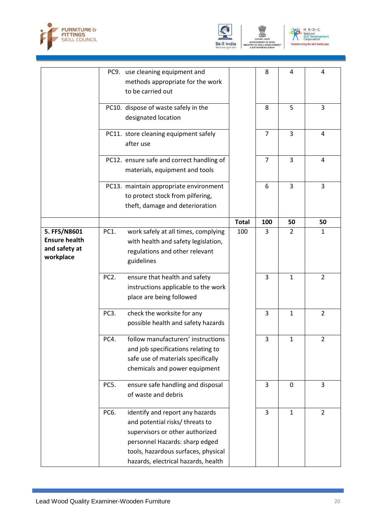





|                                                                    |                   | PC9. use cleaning equipment and<br>methods appropriate for the work<br>to be carried out                                                                                                                              |              | 8              | 4            | 4              |
|--------------------------------------------------------------------|-------------------|-----------------------------------------------------------------------------------------------------------------------------------------------------------------------------------------------------------------------|--------------|----------------|--------------|----------------|
|                                                                    |                   | PC10. dispose of waste safely in the<br>designated location                                                                                                                                                           |              | 8              | 5            | 3              |
|                                                                    |                   | PC11. store cleaning equipment safely<br>after use                                                                                                                                                                    |              | $\overline{7}$ | 3            | 4              |
|                                                                    |                   | PC12. ensure safe and correct handling of<br>materials, equipment and tools                                                                                                                                           |              | $\overline{7}$ | 3            | 4              |
|                                                                    |                   | PC13. maintain appropriate environment<br>to protect stock from pilfering,<br>theft, damage and deterioration                                                                                                         |              | 6              | 3            | 3              |
|                                                                    |                   |                                                                                                                                                                                                                       | <b>Total</b> | 100            | 50           | 50             |
| 5. FFS/N8601<br><b>Ensure health</b><br>and safety at<br>workplace | PC1.              | work safely at all times, complying<br>with health and safety legislation,<br>regulations and other relevant<br>guidelines                                                                                            | 100          | 3              | 2            | 1              |
|                                                                    | PC <sub>2</sub> . | ensure that health and safety<br>instructions applicable to the work<br>place are being followed                                                                                                                      |              | 3              | 1            | $\overline{2}$ |
|                                                                    | PC <sub>3</sub> . | check the worksite for any<br>possible health and safety hazards                                                                                                                                                      |              | 3              | $\mathbf{1}$ | $\overline{2}$ |
|                                                                    | PC4.              | follow manufacturers' instructions<br>and job specifications relating to<br>safe use of materials specifically<br>chemicals and power equipment                                                                       |              | 3              | $\mathbf{1}$ | $\overline{2}$ |
|                                                                    | PC5.              | ensure safe handling and disposal<br>of waste and debris                                                                                                                                                              |              | 3              | 0            | 3              |
|                                                                    | PC6.              | identify and report any hazards<br>and potential risks/ threats to<br>supervisors or other authorized<br>personnel Hazards: sharp edged<br>tools, hazardous surfaces, physical<br>hazards, electrical hazards, health |              | 3              | $\mathbf{1}$ | $\overline{2}$ |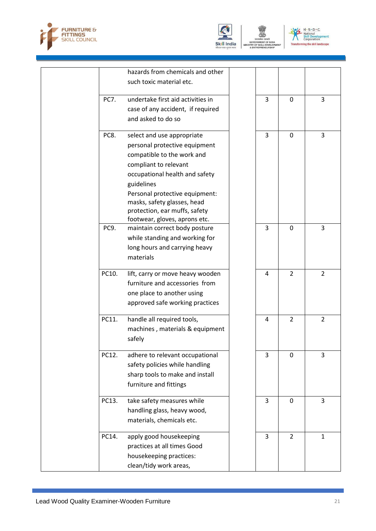



 $N \cdot 5 \cdot D \cdot C$ <br>
National<br>
Skill Development<br>
Corporation  $M$ corporation<br>ing the skill landscape

|             | hazards from chemicals and other  |   |                |                |
|-------------|-----------------------------------|---|----------------|----------------|
|             |                                   |   |                |                |
|             | such toxic material etc.          |   |                |                |
| <b>PC7.</b> | undertake first aid activities in | 3 | $\mathbf 0$    | 3              |
|             |                                   |   |                |                |
|             | case of any accident, if required |   |                |                |
|             | and asked to do so                |   |                |                |
| PC8.        | select and use appropriate        | 3 | $\mathbf 0$    | 3              |
|             | personal protective equipment     |   |                |                |
|             | compatible to the work and        |   |                |                |
|             | compliant to relevant             |   |                |                |
|             | occupational health and safety    |   |                |                |
|             | guidelines                        |   |                |                |
|             | Personal protective equipment:    |   |                |                |
|             | masks, safety glasses, head       |   |                |                |
|             | protection, ear muffs, safety     |   |                |                |
|             | footwear, gloves, aprons etc.     |   |                |                |
| PC9.        | maintain correct body posture     | 3 | 0              | 3              |
|             | while standing and working for    |   |                |                |
|             | long hours and carrying heavy     |   |                |                |
|             | materials                         |   |                |                |
|             |                                   |   |                |                |
| PC10.       | lift, carry or move heavy wooden  | 4 | $\overline{2}$ | $\overline{2}$ |
|             | furniture and accessories from    |   |                |                |
|             | one place to another using        |   |                |                |
|             | approved safe working practices   |   |                |                |
|             |                                   |   |                |                |
| PC11.       | handle all required tools,        | 4 | $\overline{2}$ | $\overline{2}$ |
|             | machines, materials & equipment   |   |                |                |
|             | safely                            |   |                |                |
| PC12.       | adhere to relevant occupational   | 3 | 0              | 3              |
|             |                                   |   |                |                |
|             | safety policies while handling    |   |                |                |
|             | sharp tools to make and install   |   |                |                |
|             | furniture and fittings            |   |                |                |
| PC13.       | take safety measures while        | 3 | $\mathbf 0$    | 3              |
|             | handling glass, heavy wood,       |   |                |                |
|             | materials, chemicals etc.         |   |                |                |
| PC14.       | apply good housekeeping           | 3 | $\overline{2}$ | $\mathbf{1}$   |
|             |                                   |   |                |                |
|             | practices at all times Good       |   |                |                |
|             | housekeeping practices:           |   |                |                |
|             | clean/tidy work areas,            |   |                |                |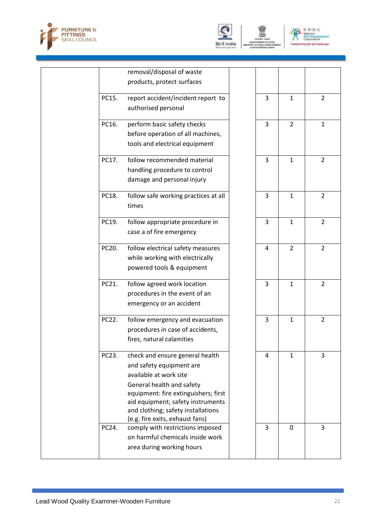





|       | removal/disposal of waste                                               |                |                |                |
|-------|-------------------------------------------------------------------------|----------------|----------------|----------------|
|       | products, protect surfaces                                              |                |                |                |
| PC15. | report accident/incident report to                                      | 3              | $\mathbf{1}$   | $\overline{2}$ |
|       | authorised personal                                                     |                |                |                |
|       |                                                                         |                |                |                |
| PC16. | perform basic safety checks                                             | 3              | $\overline{2}$ | $\mathbf{1}$   |
|       | before operation of all machines,                                       |                |                |                |
|       | tools and electrical equipment                                          |                |                |                |
| PC17. | follow recommended material                                             | 3              | $\mathbf{1}$   | $\overline{2}$ |
|       | handling procedure to control                                           |                |                |                |
|       | damage and personal injury                                              |                |                |                |
|       |                                                                         |                |                |                |
| PC18. | follow safe working practices at all                                    | 3              | $\mathbf{1}$   | $\overline{2}$ |
|       | times                                                                   |                |                |                |
| PC19. | follow appropriate procedure in                                         | 3              | $\mathbf{1}$   | $\overline{2}$ |
|       | case a of fire emergency                                                |                |                |                |
|       |                                                                         |                |                |                |
| PC20. | follow electrical safety measures                                       | $\overline{4}$ | $\overline{2}$ | $\overline{2}$ |
|       | while working with electrically                                         |                |                |                |
|       | powered tools & equipment                                               |                |                |                |
| PC21. | follow agreed work location                                             | $\overline{3}$ | $\mathbf{1}$   | $\overline{2}$ |
|       | procedures in the event of an                                           |                |                |                |
|       | emergency or an accident                                                |                |                |                |
| PC22. | follow emergency and evacuation                                         | 3              | $\mathbf{1}$   | $\overline{2}$ |
|       | procedures in case of accidents,                                        |                |                |                |
|       | fires, natural calamities                                               |                |                |                |
|       |                                                                         |                |                |                |
| PC23. | check and ensure general health                                         | 4              | $\mathbf{1}$   | 3              |
|       | and safety equipment are                                                |                |                |                |
|       | available at work site                                                  |                |                |                |
|       | General health and safety                                               |                |                |                |
|       | equipment: fire extinguishers; first                                    |                |                |                |
|       | aid equipment; safety instruments<br>and clothing; safety installations |                |                |                |
|       | (e.g. fire exits, exhaust fans)                                         |                |                |                |
| PC24. | comply with restrictions imposed                                        | 3              | $\mathbf 0$    | 3              |
|       | on harmful chemicals inside work                                        |                |                |                |
|       | area during working hours                                               |                |                |                |
|       |                                                                         |                |                |                |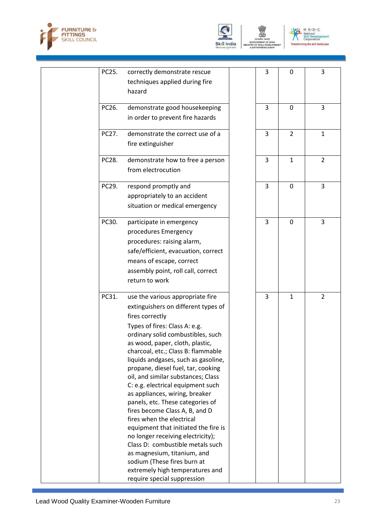





| PC25. | correctly demonstrate rescue<br>techniques applied during fire<br>hazard                                                                                                                                                                                                                                                                                                                                                                                                                                                                                                                                                                                                                                                                                                                | 3 | $\mathbf 0$    | 3              |
|-------|-----------------------------------------------------------------------------------------------------------------------------------------------------------------------------------------------------------------------------------------------------------------------------------------------------------------------------------------------------------------------------------------------------------------------------------------------------------------------------------------------------------------------------------------------------------------------------------------------------------------------------------------------------------------------------------------------------------------------------------------------------------------------------------------|---|----------------|----------------|
| PC26. | demonstrate good housekeeping<br>in order to prevent fire hazards                                                                                                                                                                                                                                                                                                                                                                                                                                                                                                                                                                                                                                                                                                                       | 3 | 0              | 3              |
| PC27. | demonstrate the correct use of a<br>fire extinguisher                                                                                                                                                                                                                                                                                                                                                                                                                                                                                                                                                                                                                                                                                                                                   | 3 | $\overline{2}$ | $\mathbf{1}$   |
| PC28. | demonstrate how to free a person<br>from electrocution                                                                                                                                                                                                                                                                                                                                                                                                                                                                                                                                                                                                                                                                                                                                  | 3 | $\mathbf{1}$   | $\overline{2}$ |
| PC29. | respond promptly and<br>appropriately to an accident<br>situation or medical emergency                                                                                                                                                                                                                                                                                                                                                                                                                                                                                                                                                                                                                                                                                                  | 3 | 0              | 3              |
| PC30. | participate in emergency<br>procedures Emergency<br>procedures: raising alarm,<br>safe/efficient, evacuation, correct<br>means of escape, correct<br>assembly point, roll call, correct<br>return to work                                                                                                                                                                                                                                                                                                                                                                                                                                                                                                                                                                               | 3 | $\mathbf 0$    | 3              |
| PC31. | use the various appropriate fire<br>extinguishers on different types of<br>fires correctly<br>Types of fires: Class A: e.g.<br>ordinary solid combustibles, such<br>as wood, paper, cloth, plastic,<br>charcoal, etc.; Class B: flammable<br>liquids andgases, such as gasoline,<br>propane, diesel fuel, tar, cooking<br>oil, and similar substances; Class<br>C: e.g. electrical equipment such<br>as appliances, wiring, breaker<br>panels, etc. These categories of<br>fires become Class A, B, and D<br>fires when the electrical<br>equipment that initiated the fire is<br>no longer receiving electricity);<br>Class D: combustible metals such<br>as magnesium, titanium, and<br>sodium (These fires burn at<br>extremely high temperatures and<br>require special suppression | 3 | $\mathbf{1}$   | $\overline{2}$ |